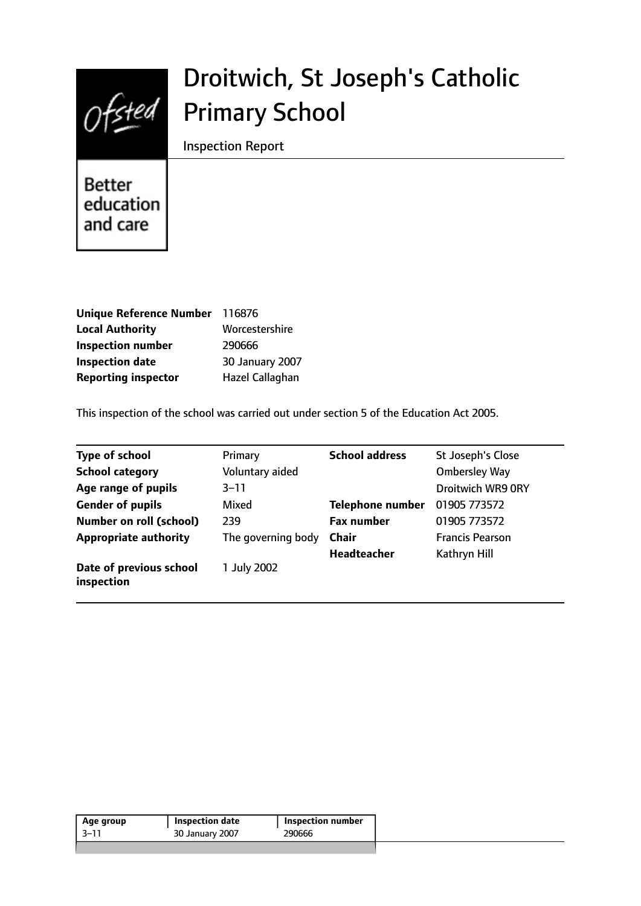

# Droitwich, St Joseph's Catholic Primary School

Inspection Report

**Better** education and care

| Unique Reference Number    | 116876          |
|----------------------------|-----------------|
| <b>Local Authority</b>     | Worcestershire  |
| <b>Inspection number</b>   | 290666          |
| <b>Inspection date</b>     | 30 January 2007 |
| <b>Reporting inspector</b> | Hazel Callaghan |

This inspection of the school was carried out under section 5 of the Education Act 2005.

| <b>Type of school</b>                 | Primary            | <b>School address</b>   | St Joseph's Close        |
|---------------------------------------|--------------------|-------------------------|--------------------------|
| <b>School category</b>                | Voluntary aided    |                         | <b>Ombersley Way</b>     |
| Age range of pupils                   | $3 - 11$           |                         | <b>Droitwich WR9 ORY</b> |
| <b>Gender of pupils</b>               | Mixed              | <b>Telephone number</b> | 01905 773572             |
| <b>Number on roll (school)</b>        | 239                | <b>Fax number</b>       | 01905 773572             |
| <b>Appropriate authority</b>          | The governing body | <b>Chair</b>            | <b>Francis Pearson</b>   |
|                                       |                    | <b>Headteacher</b>      | Kathryn Hill             |
| Date of previous school<br>inspection | 1 July 2002        |                         |                          |

|  | Inspection number | <b>Inspection date</b> | Age group |
|--|-------------------|------------------------|-----------|
|  | 290666            | 30 January 2007        | -3–11     |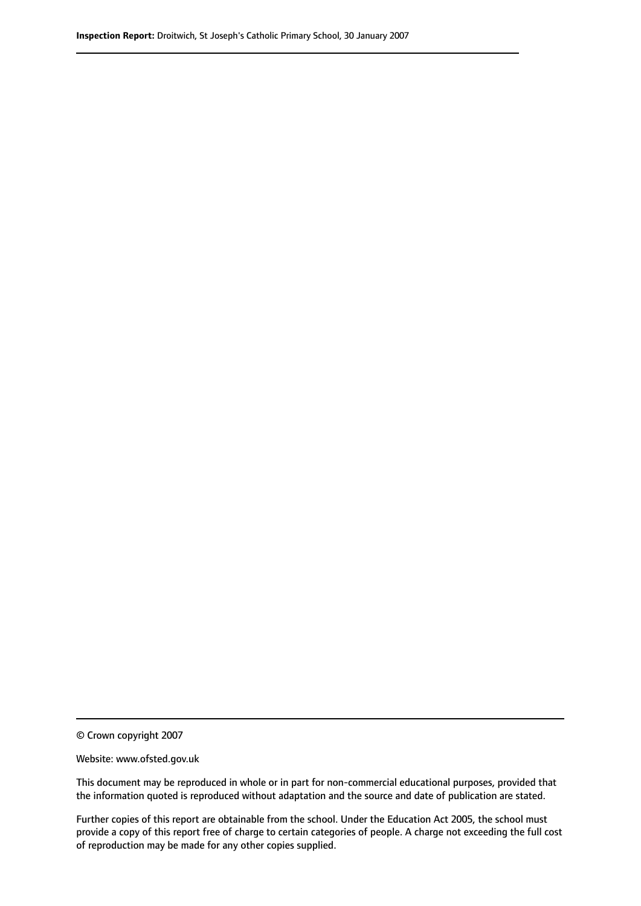© Crown copyright 2007

Website: www.ofsted.gov.uk

This document may be reproduced in whole or in part for non-commercial educational purposes, provided that the information quoted is reproduced without adaptation and the source and date of publication are stated.

Further copies of this report are obtainable from the school. Under the Education Act 2005, the school must provide a copy of this report free of charge to certain categories of people. A charge not exceeding the full cost of reproduction may be made for any other copies supplied.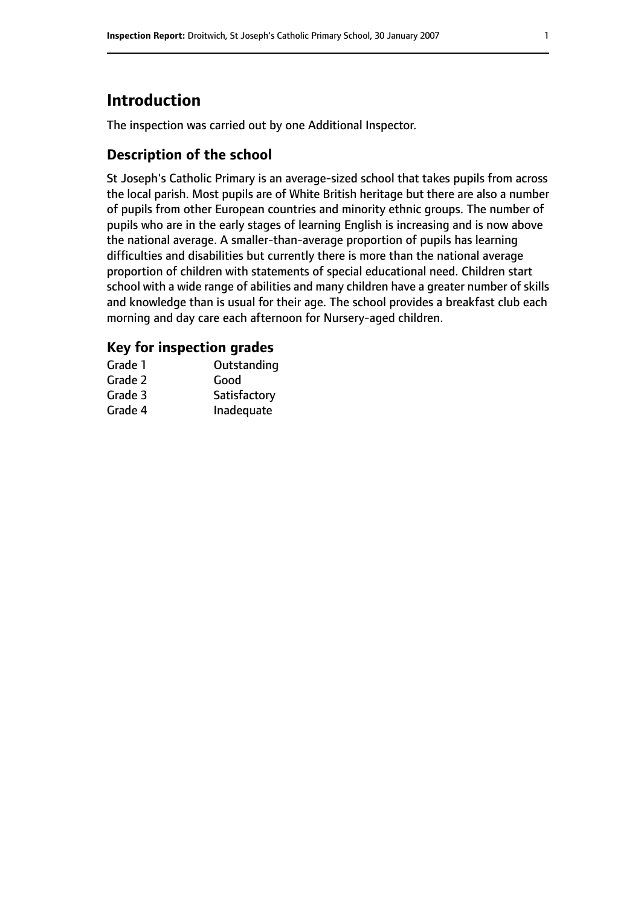# **Introduction**

The inspection was carried out by one Additional Inspector.

## **Description of the school**

St Joseph's Catholic Primary is an average-sized school that takes pupils from across the local parish. Most pupils are of White British heritage but there are also a number of pupils from other European countries and minority ethnic groups. The number of pupils who are in the early stages of learning English is increasing and is now above the national average. A smaller-than-average proportion of pupils has learning difficulties and disabilities but currently there is more than the national average proportion of children with statements of special educational need. Children start school with a wide range of abilities and many children have a greater number of skills and knowledge than is usual for their age. The school provides a breakfast club each morning and day care each afternoon for Nursery-aged children.

### **Key for inspection grades**

| Grade 1 | Outstanding  |
|---------|--------------|
| Grade 2 | Good         |
| Grade 3 | Satisfactory |
| Grade 4 | Inadequate   |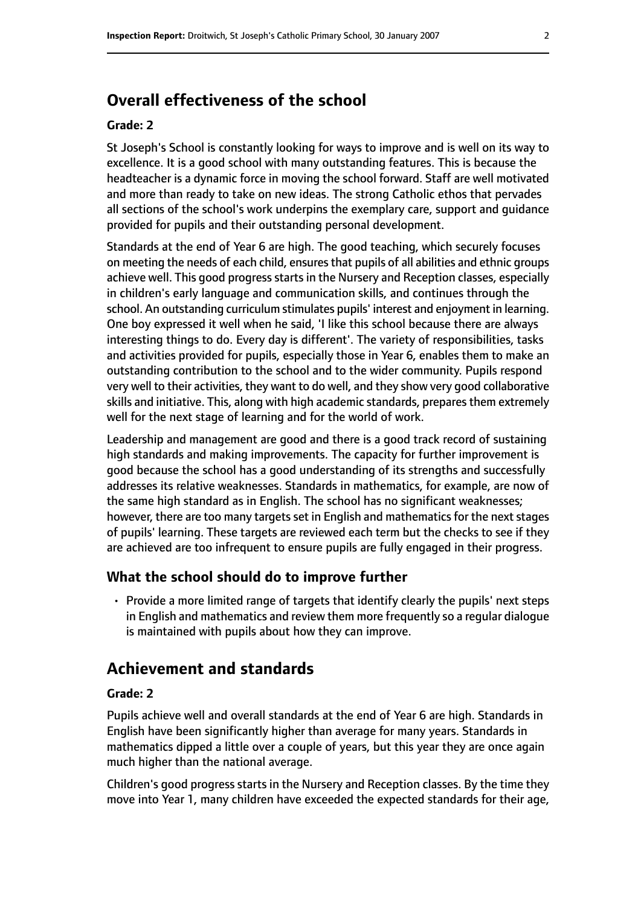## **Overall effectiveness of the school**

#### **Grade: 2**

St Joseph's School is constantly looking for ways to improve and is well on its way to excellence. It is a good school with many outstanding features. This is because the headteacher is a dynamic force in moving the school forward. Staff are well motivated and more than ready to take on new ideas. The strong Catholic ethos that pervades all sections of the school's work underpins the exemplary care, support and guidance provided for pupils and their outstanding personal development.

Standards at the end of Year 6 are high. The good teaching, which securely focuses on meeting the needs of each child, ensuresthat pupils of all abilities and ethnic groups achieve well. This good progress starts in the Nursery and Reception classes, especially in children's early language and communication skills, and continues through the school. An outstanding curriculum stimulates pupils' interest and enjoyment in learning. One boy expressed it well when he said, 'I like this school because there are always interesting things to do. Every day is different'. The variety of responsibilities, tasks and activities provided for pupils, especially those in Year 6, enables them to make an outstanding contribution to the school and to the wider community. Pupils respond very well to their activities, they want to do well, and they show very good collaborative skills and initiative. This, along with high academic standards, prepares them extremely well for the next stage of learning and for the world of work.

Leadership and management are good and there is a good track record of sustaining high standards and making improvements. The capacity for further improvement is good because the school has a good understanding of its strengths and successfully addresses its relative weaknesses. Standards in mathematics, for example, are now of the same high standard as in English. The school has no significant weaknesses; however, there are too many targets set in English and mathematics for the next stages of pupils' learning. These targets are reviewed each term but the checks to see if they are achieved are too infrequent to ensure pupils are fully engaged in their progress.

#### **What the school should do to improve further**

• Provide a more limited range of targets that identify clearly the pupils' next steps in English and mathematics and review them more frequently so a regular dialogue is maintained with pupils about how they can improve.

## **Achievement and standards**

#### **Grade: 2**

Pupils achieve well and overall standards at the end of Year 6 are high. Standards in English have been significantly higher than average for many years. Standards in mathematics dipped a little over a couple of years, but this year they are once again much higher than the national average.

Children's good progress starts in the Nursery and Reception classes. By the time they move into Year 1, many children have exceeded the expected standards for their age,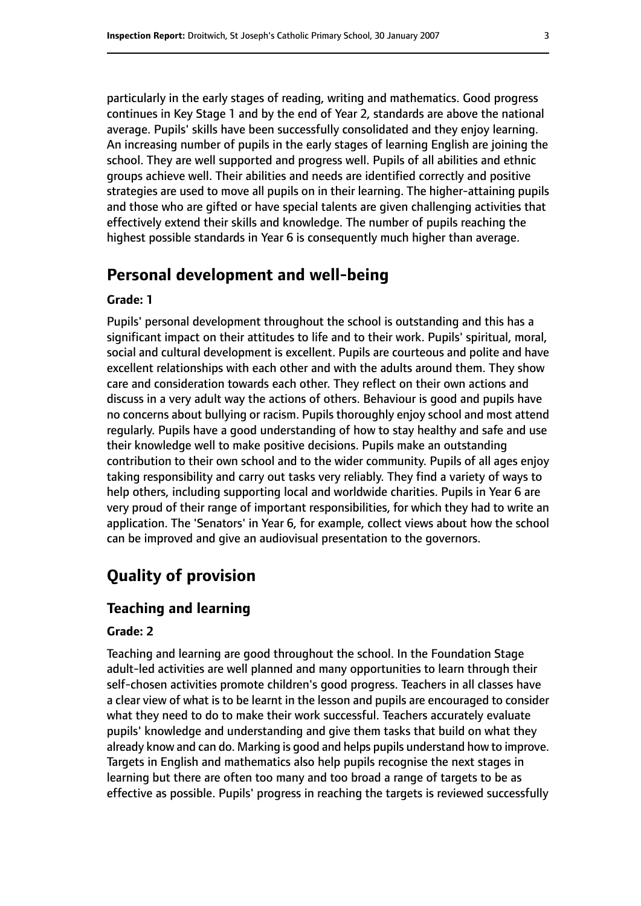particularly in the early stages of reading, writing and mathematics. Good progress continues in Key Stage 1 and by the end of Year 2, standards are above the national average. Pupils' skills have been successfully consolidated and they enjoy learning. An increasing number of pupils in the early stages of learning English are joining the school. They are well supported and progress well. Pupils of all abilities and ethnic groups achieve well. Their abilities and needs are identified correctly and positive strategies are used to move all pupils on in their learning. The higher-attaining pupils and those who are gifted or have special talents are given challenging activities that effectively extend their skills and knowledge. The number of pupils reaching the highest possible standards in Year 6 is consequently much higher than average.

## **Personal development and well-being**

#### **Grade: 1**

Pupils' personal development throughout the school is outstanding and this has a significant impact on their attitudes to life and to their work. Pupils' spiritual, moral, social and cultural development is excellent. Pupils are courteous and polite and have excellent relationships with each other and with the adults around them. They show care and consideration towards each other. They reflect on their own actions and discuss in a very adult way the actions of others. Behaviour is good and pupils have no concerns about bullying or racism. Pupils thoroughly enjoy school and most attend regularly. Pupils have a good understanding of how to stay healthy and safe and use their knowledge well to make positive decisions. Pupils make an outstanding contribution to their own school and to the wider community. Pupils of all ages enjoy taking responsibility and carry out tasks very reliably. They find a variety of ways to help others, including supporting local and worldwide charities. Pupils in Year 6 are very proud of their range of important responsibilities, for which they had to write an application. The 'Senators' in Year 6, for example, collect views about how the school can be improved and give an audiovisual presentation to the governors.

## **Quality of provision**

#### **Teaching and learning**

#### **Grade: 2**

Teaching and learning are good throughout the school. In the Foundation Stage adult-led activities are well planned and many opportunities to learn through their self-chosen activities promote children's good progress. Teachers in all classes have a clear view of what is to be learnt in the lesson and pupils are encouraged to consider what they need to do to make their work successful. Teachers accurately evaluate pupils' knowledge and understanding and give them tasks that build on what they already know and can do. Marking is good and helps pupils understand how to improve. Targets in English and mathematics also help pupils recognise the next stages in learning but there are often too many and too broad a range of targets to be as effective as possible. Pupils' progress in reaching the targets is reviewed successfully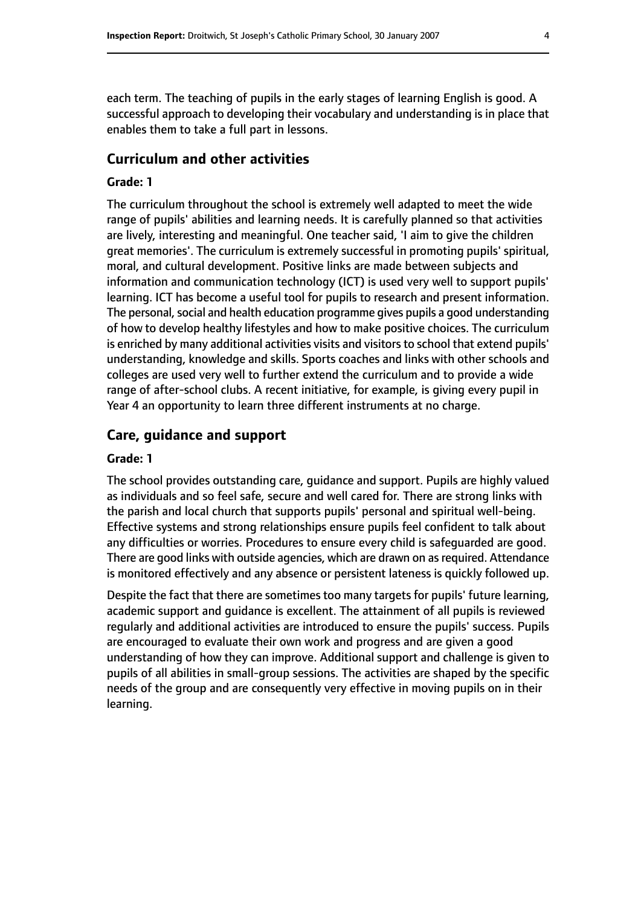each term. The teaching of pupils in the early stages of learning English is good. A successful approach to developing their vocabulary and understanding is in place that enables them to take a full part in lessons.

#### **Curriculum and other activities**

#### **Grade: 1**

The curriculum throughout the school is extremely well adapted to meet the wide range of pupils' abilities and learning needs. It is carefully planned so that activities are lively, interesting and meaningful. One teacher said, 'I aim to give the children great memories'. The curriculum is extremely successful in promoting pupils' spiritual, moral, and cultural development. Positive links are made between subjects and information and communication technology (ICT) is used very well to support pupils' learning. ICT has become a useful tool for pupils to research and present information. The personal, social and health education programme gives pupils a good understanding of how to develop healthy lifestyles and how to make positive choices. The curriculum is enriched by many additional activities visits and visitors to school that extend pupils' understanding, knowledge and skills. Sports coaches and links with other schools and colleges are used very well to further extend the curriculum and to provide a wide range of after-school clubs. A recent initiative, for example, is giving every pupil in Year 4 an opportunity to learn three different instruments at no charge.

#### **Care, guidance and support**

#### **Grade: 1**

The school provides outstanding care, guidance and support. Pupils are highly valued as individuals and so feel safe, secure and well cared for. There are strong links with the parish and local church that supports pupils' personal and spiritual well-being. Effective systems and strong relationships ensure pupils feel confident to talk about any difficulties or worries. Procedures to ensure every child is safeguarded are good. There are good links with outside agencies, which are drawn on as required. Attendance is monitored effectively and any absence or persistent lateness is quickly followed up.

Despite the fact that there are sometimes too many targets for pupils' future learning, academic support and guidance is excellent. The attainment of all pupils is reviewed regularly and additional activities are introduced to ensure the pupils' success. Pupils are encouraged to evaluate their own work and progress and are given a good understanding of how they can improve. Additional support and challenge is given to pupils of all abilities in small-group sessions. The activities are shaped by the specific needs of the group and are consequently very effective in moving pupils on in their learning.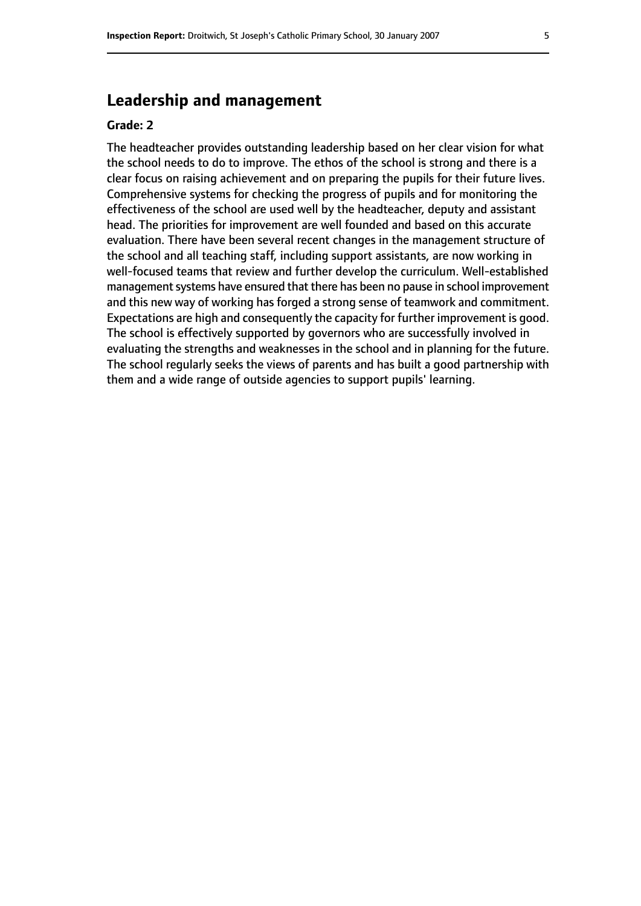## **Leadership and management**

#### **Grade: 2**

The headteacher provides outstanding leadership based on her clear vision for what the school needs to do to improve. The ethos of the school is strong and there is a clear focus on raising achievement and on preparing the pupils for their future lives. Comprehensive systems for checking the progress of pupils and for monitoring the effectiveness of the school are used well by the headteacher, deputy and assistant head. The priorities for improvement are well founded and based on this accurate evaluation. There have been several recent changes in the management structure of the school and all teaching staff, including support assistants, are now working in well-focused teams that review and further develop the curriculum. Well-established management systems have ensured that there has been no pause in school improvement and this new way of working has forged a strong sense of teamwork and commitment. Expectations are high and consequently the capacity for further improvement is good. The school is effectively supported by governors who are successfully involved in evaluating the strengths and weaknesses in the school and in planning for the future. The school regularly seeks the views of parents and has built a good partnership with them and a wide range of outside agencies to support pupils' learning.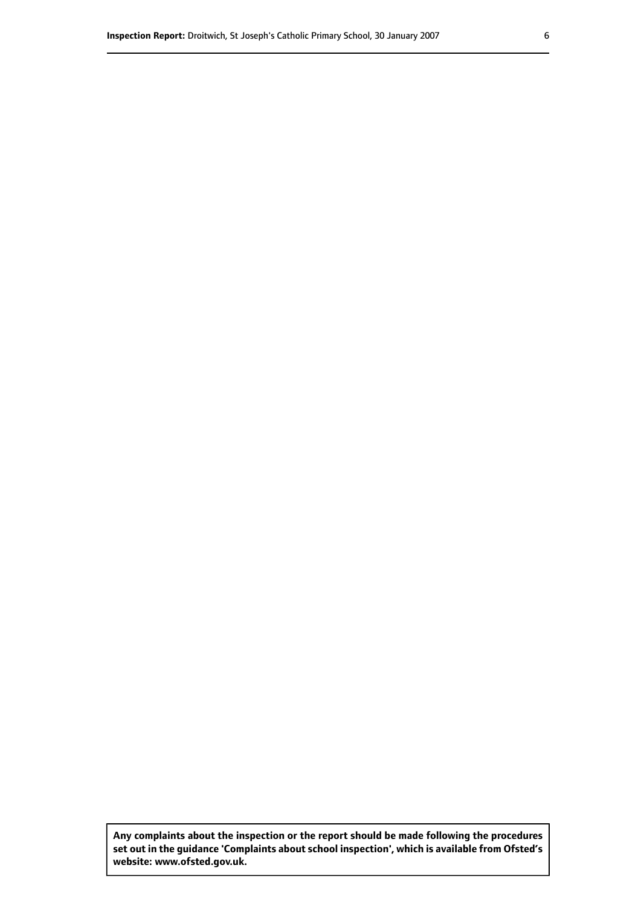**Any complaints about the inspection or the report should be made following the procedures set out inthe guidance 'Complaints about school inspection', whichis available from Ofsted's website: www.ofsted.gov.uk.**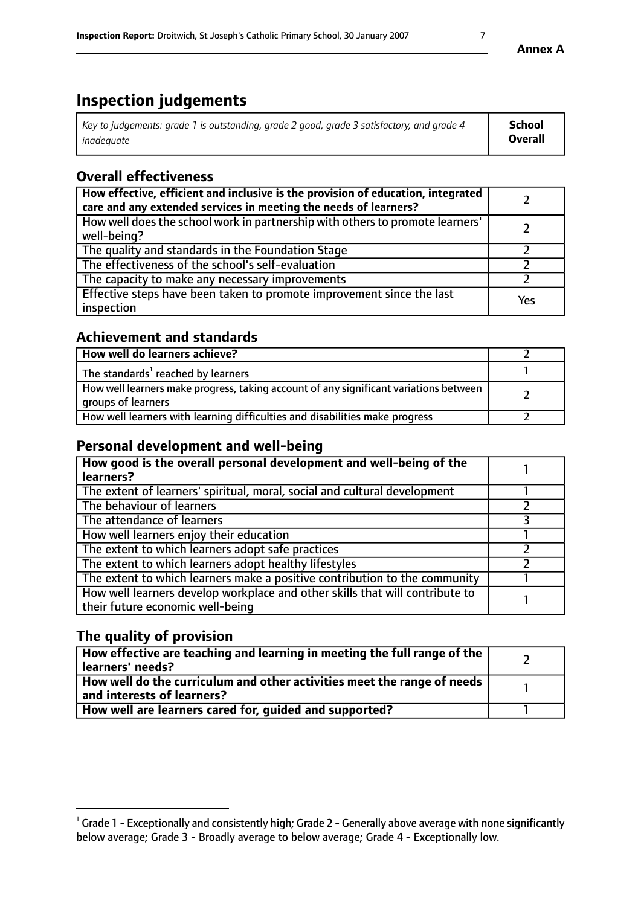# **Inspection judgements**

| Key to judgements: grade 1 is outstanding, grade 2 good, grade 3 satisfactory, and grade 4 | <b>School</b>  |
|--------------------------------------------------------------------------------------------|----------------|
| inadeauate                                                                                 | <b>Overall</b> |

## **Overall effectiveness**

| How effective, efficient and inclusive is the provision of education, integrated<br>care and any extended services in meeting the needs of learners? |     |
|------------------------------------------------------------------------------------------------------------------------------------------------------|-----|
| How well does the school work in partnership with others to promote learners'<br>well-being?                                                         |     |
| The quality and standards in the Foundation Stage                                                                                                    |     |
| The effectiveness of the school's self-evaluation                                                                                                    |     |
| The capacity to make any necessary improvements                                                                                                      |     |
| Effective steps have been taken to promote improvement since the last<br>inspection                                                                  | Yes |

## **Achievement and standards**

| How well do learners achieve?                                                                               |  |
|-------------------------------------------------------------------------------------------------------------|--|
| The standards <sup>1</sup> reached by learners                                                              |  |
| How well learners make progress, taking account of any significant variations between<br>groups of learners |  |
| How well learners with learning difficulties and disabilities make progress                                 |  |

## **Personal development and well-being**

| How good is the overall personal development and well-being of the<br>learners?                                  |  |
|------------------------------------------------------------------------------------------------------------------|--|
| The extent of learners' spiritual, moral, social and cultural development                                        |  |
| The behaviour of learners                                                                                        |  |
| The attendance of learners                                                                                       |  |
| How well learners enjoy their education                                                                          |  |
| The extent to which learners adopt safe practices                                                                |  |
| The extent to which learners adopt healthy lifestyles                                                            |  |
| The extent to which learners make a positive contribution to the community                                       |  |
| How well learners develop workplace and other skills that will contribute to<br>their future economic well-being |  |

## **The quality of provision**

| How effective are teaching and learning in meeting the full range of the<br>  learners' needs?                      |  |
|---------------------------------------------------------------------------------------------------------------------|--|
| $\mid$ How well do the curriculum and other activities meet the range of needs<br>$\mid$ and interests of learners? |  |
| How well are learners cared for, guided and supported?                                                              |  |

 $^1$  Grade 1 - Exceptionally and consistently high; Grade 2 - Generally above average with none significantly below average; Grade 3 - Broadly average to below average; Grade 4 - Exceptionally low.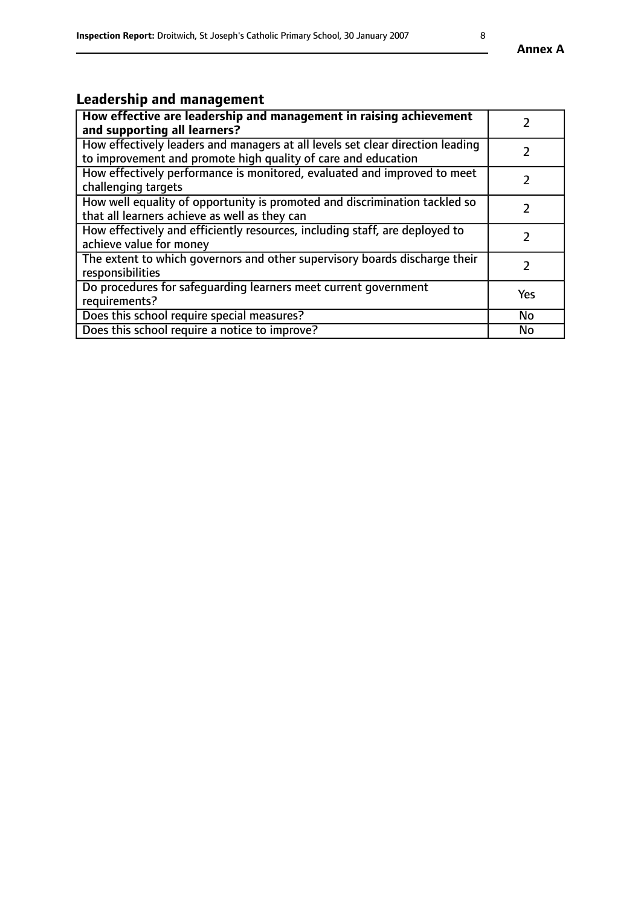# **Leadership and management**

| How effective are leadership and management in raising achievement<br>and supporting all learners?                                              |               |
|-------------------------------------------------------------------------------------------------------------------------------------------------|---------------|
| How effectively leaders and managers at all levels set clear direction leading<br>to improvement and promote high quality of care and education |               |
| How effectively performance is monitored, evaluated and improved to meet<br>challenging targets                                                 | $\mathcal{L}$ |
| How well equality of opportunity is promoted and discrimination tackled so<br>that all learners achieve as well as they can                     |               |
| How effectively and efficiently resources, including staff, are deployed to<br>achieve value for money                                          | $\mathcal{P}$ |
| The extent to which governors and other supervisory boards discharge their<br>responsibilities                                                  |               |
| Do procedures for safequarding learners meet current government<br>requirements?                                                                | Yes           |
| Does this school require special measures?                                                                                                      | No            |
| Does this school require a notice to improve?                                                                                                   | <b>No</b>     |